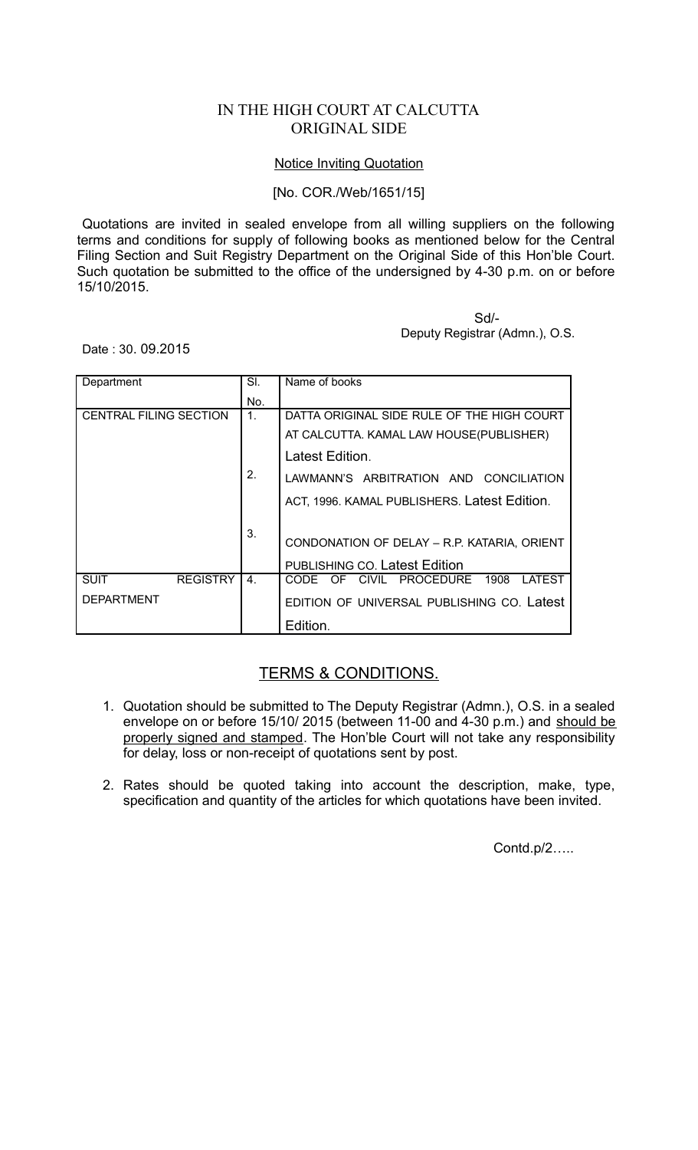## IN THE HIGH COURT AT CALCUTTA ORIGINAL SIDE

## Notice Inviting Quotation

## [No. COR./Web/1651/15]

Quotations are invited in sealed envelope from all willing suppliers on the following terms and conditions for supply of following books as mentioned below for the Central Filing Section and Suit Registry Department on the Original Side of this Hon'ble Court. Such quotation be submitted to the office of the undersigned by 4-30 p.m. on or before 15/10/2015.

> Sd/- Deputy Registrar (Admn.), O.S.

Date : 30. 09.2015

| Department                     | SI.            | Name of books                                |
|--------------------------------|----------------|----------------------------------------------|
|                                | No.            |                                              |
| <b>CENTRAL FILING SECTION</b>  | 1 <sub>1</sub> | DATTA ORIGINAL SIDE RULE OF THE HIGH COURT   |
|                                |                | AT CALCUTTA. KAMAL LAW HOUSE(PUBLISHER)      |
|                                |                | Latest Edition.                              |
|                                | 2.             | LAWMANN'S ARBITRATION AND CONCILIATION       |
|                                |                | ACT, 1996. KAMAL PUBLISHERS. Latest Edition. |
|                                | 3.             | CONDONATION OF DELAY - R.P. KATARIA, ORIENT  |
|                                |                | <b>PUBLISHING CO. Latest Edition</b>         |
| <b>REGISTRY</b><br><b>SUIT</b> | 4.             | CODE OF CIVIL PROCEDURE<br>1908<br>LATEST    |
| <b>DEPARTMENT</b>              |                | EDITION OF UNIVERSAL PUBLISHING CO. Latest   |
|                                |                | Edition.                                     |

## TERMS & CONDITIONS.

- 1. Quotation should be submitted to The Deputy Registrar (Admn.), O.S. in a sealed envelope on or before 15/10/ 2015 (between 11-00 and 4-30 p.m.) and should be properly signed and stamped. The Hon'ble Court will not take any responsibility for delay, loss or non-receipt of quotations sent by post.
- 2. Rates should be quoted taking into account the description, make, type, specification and quantity of the articles for which quotations have been invited.

Contd.p/2…..